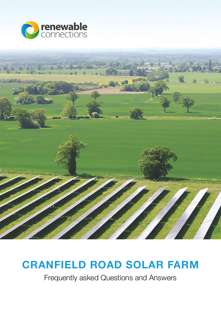



# **CRANFIELD ROAD SOLAR FARM**

Frequently asked Questions and Answers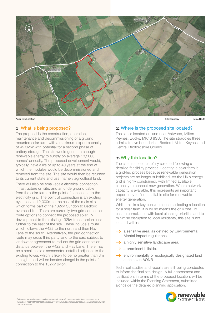

## Q1 What is being proposed?

The proposal is the construction, operation, maintenance and decommissioning of a ground mounted solar farm with a maximum export capacity of 45.5MW with potential for a second phase of battery storage. The site would generate enough renewable energy to supply on average 13,5000 homes\* annually. The proposed development would, typically, have a life of up to 40 years at the end of which the modules would be decommissioned and removed from the site. The site would then be returned to its current state and use, namely agricultural land.

There will also be small-scale electrical connection infrastructure on site, and an underground cable from the solar farm to the point of connection to the electricity grid. The point of connection is an existing pylon located 2,000m to the east of the main site which forms part of the 132kV Sundon to Bedford overhead line. There are currently two grid connection route options to connect the proposed solar PV development to the existing 132kV transmission lines further to the east of the site. These include a route which follows the A422 to the north and then Hay Lane to the south. Alternatively, the grid connection route may cross third party land to the east subject to landowner agreement to reduce the grid connection distance between the A422 and Hay Lane. There may be a small-scale disconnector installed adjacent to the existing tower, which is likely to be no greater than 3m in height, and will be located alongside the point of connection to the 132kV pylon.

Aerial Site Location Cable Route Route Cable Route Records and Site Boundary Cable Route Route Cable Route

## Q2 Where is the proposed site located?

The site is located on land near Astwood, Milton Keynes, Bucks, MK43 8SU. The site straddles three administrative boundaries: Bedford; Milton Keynes and Central Bedfordshire Council.

## Q3 Why this location?

The site has been carefully selected following a detailed feasibility process. Locating a solar farm is a grid-led process because renewable generation projects are no longer subsidised. As the UK's energy grid is highly constrained, with limited available capacity to connect new generation. Where network capacity is available, this represents an important opportunity to find a suitable site for renewable energy generation.

Whilst this is a key consideration in selecting a location for a solar farm, it is by no means the only one. To ensure compliance with local planning priorities and to minimise disruption to local residents, this site is not located within:

- $\rightarrow$  a sensitive area, as defined by Environmental Mental Impact regulations.
- $\rightarrow$  a highly sensitive landscape area.
- $\rightarrow$  a prominent hillside.
- $\rightarrow$  environmentally or ecologically designated land such as an AONB.

Technical studies and reports are still being conducted to inform the final site design. A full assessment and justification, in terms of the proposed location, will be included within the Planning Statement, submitted alongside the detailed planning application.



<sup>\*</sup> Reference: www.solar-trade.org.uk/solar-farms/#:~:text=Some%20facts%20about%20solar%20 farms&text=%E2%80%93%20For%20every%205MW%20installed%2C%20a,megawatts%20(MW)%20 of%20installati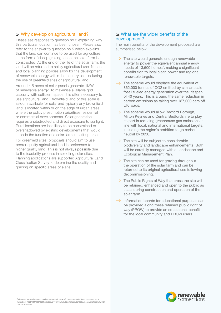## Q4 Why develop on agricultural land?

Please see response to question no.3 explaining why this particular location has been chosen. Please also refer to the answer to question no.5 which explains that the land can continue to be used for agriculture, in the form of sheep grazing, once the solar farm is constructed. At the end of the life of the solar farm, the land will be returned to solely agricultural use. National and local planning policies allow for the development of renewable energy within the countryside, including the use of greenfield sites or agricultural land.

Around 4.5 acres of solar panels generate 1MW of renewable energy. To maximise available grid capacity with sufficient space, it is often necessary to use agricultural land. Brownfield land of this scale is seldom available for solar and typically any brownfield land is located within or on the edge of urban areas where the policy presumption prioritises residential or commercial developments. Solar generation requires unobstructed and direct exposure to sunlight. Rural locations are less likely to be constrained or overshadowed by existing developments that would impede the function of a solar farm in built up areas.

For greenfield sites, proposals should aim to use poorer quality agricultural land in preference to higher quality land. This is not always possible due to the feasibility process in selecting solar sites. Planning applications are supported Agricultural Land Classification Survey to determine the quality and grading on specific areas of a site.

## Q5 What are the wider benefits of the development?

The main benefits of the development proposed are summarised below:

- $\rightarrow$  The site would generate enough renewable energy to power the equivalent annual energy needs of 13,500 homes\*, making a significant contribution to local clean power and regional renewable targets.
- $\rightarrow$  The scheme would displace the equivalent of 862,000 tonnes of CO2 emitted by similar scale fossil fueled energy generation over the lifespan of 40 years. This is around the same reduction in carbon emissions as taking over 187,000 cars off UK roads.
- $\rightarrow$  The scheme would allow Bedford Borough, Milton Keynes and Central Bedfordshire to play its part in reducing greenhouse gas emissions in line with local, national and international targets, including the region's ambition to go carbon neutral by 2030.
- $\rightarrow$  The site will be subject to considerable biodiversity and landscape enhancements. Both will be carefully managed with a Landscape and Ecological Management Plan.
- $\rightarrow$  The site can be used for grazing throughout the operation of the solar farm and can be returned to its original agricultural use following decommissioning.
- $\rightarrow$  The Public Rights of Way that cross the site will be retained, enhanced and open to the public as usual during construction and operation of the solar farm.
- $\rightarrow$  Information boards for educational purposes can be provided along these retained public right of way (PROW) to provide an educational benefit for the local community and PROW users.

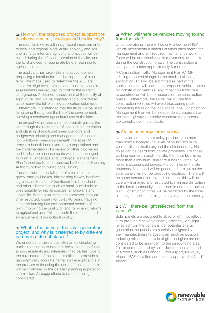# Q6 How will the proposed project support the local environment, ecology and biodiversity?

The solar farm will result in significant improvements to local and regional biodiversity, ecology, and soil chemistry as intensive agricultural practices will be halted during the 40 year operation of the site, and the land allowed to regenerate before returning to agricultural use.

The applicant has taken this into account when proposing a location for the development of a solar farm. The maps used to determine the ALC are indicative, high-level, historic and thus site-specific assessments are required to confirm the current land grading. A detailed assessment of the quality of agricultural land will be prepared and submitted to accompany the full planning application submission. Furthermore, it is intended that the fields will be used for grazing throughout the life of the development, allowing a continued agricultural use of the land.

The project will provide a net biodiversity gain at the site through the restoration of local habitat, retention and planting of additional green corridors and hedgerows, planting and management of speciesrich wildflower meadows beneath the solar PV arrays to benefit local invertebrate populations and the implementation of a variety of other biodiversity and landscape enhancements which are managed through a Landscape and Ecological Management Plan (submitted to and approved by the Local Planning Authority following public consultation).

These include the installation of small mammal gates, barn owl boxes, bird nesting boxes, beehives, log piles, restoration of traditional field boundaries, and other hibernacula such as small buried rubble piles suitable for reptile species, amphibians and insect life. When solar farms are approved, they are time restricted, usually for up to 40 years. Pausing intensive farming has environmental benefits of its own, improving the quality of land for when it returns to agricultural use. This supports the retention and enhancement of agricultural quality.

## Q7 What is the name of the solar generation project, and why is it referred to by different names in different places?

We understand the various site names circulating in public information to date has led to some confusion among residents and interested third parties. Due to the rural nature of the site, it is difficult to provide a geographically accurate name, so the applicant is in the process of finalising the name of the site and this will be confirmed in the detailed planning application submission. All suggestions to date are being considered.

# Q8 When will there be vehicles moving to and from the site?

Once operational there will be only a few non-HGV vehicle movements a handful of times each month for management and any required maintenance work. There will be additional vehicle movements at the site during the construction phase. The construction is anticipated to take approximately 6 months.

A Construction Traffic Management Plan (CTMP) is being prepared alongside the detailed planning application. This will be submitted as part of the application and will outline the proposed vehicle routes for construction vehicles. Any impact on traffic due to construction will be temporary for the construction phase. Furthermore, the CTMP will outline that construction vehicles will avoid trips during peak commuting hours on the local roads. The Construction Management Plan will be independently assessed by the local highways authority to ensure the proposals are compliant with standards.

# Q9 Are solar energy farms noisy?

No – solar farms are not noisy, producing no more than normal background levels of sound similar to wind or distant traffic beyond the site boundary. No noise can be heard from private properties. For those walking near or through the site, the noise level is no more than a low hum, similar to a boiling kettle. No noise is experienced beyond the confines of the site boundary. No sound will be generated at night as the solar panels will not be producing electricity. There will be some construction-related noise, but this will be carefully managed and restricted to minimse disruption to the local community, as outlined in our construction plan. Construction times will be restricted by the local planning authorities to mitigate any impact on amenity.

## Q10 Will there be light reflected from the panels?

Solar panels are designed to absorb light, not reflect it, to produce renewable energy efficiently. Any light reflected from the panels is lost potential energy generation, so panels are carefully designed by their manufacturers to absorb as much as possible, reducing reflections. Levels of glint and glare are not considered to be significant to the surrounding area. This is demonstrated by solar developments located at airports, such as London Luton Airport, Newquay Airport, RAF Yeovilton and recently approved at Cardiff Airport.

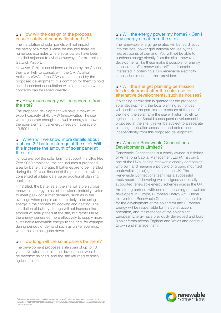# Q11 How will the design of the proposal ensure safety of nearby flight paths?

The installation of solar panels will not impact the safety of aircraft. Please be assured there are numerous examples where solar panels have been installed adjacent to aviation runways, for example at Gatwick Airport.

However, if this is considered an issue by the Council, they are likely to consult with the Civil Aviation Authority (CAA). If the CAA are concerned by the proposed development, it is common for them to hold an independent consultation with stakeholders where concerns can be raised directly.

## Q12 How much energy will be generate from the site?

The proposed development will have a maximum export capacity of 45.5MW (megawatts). The site would generate enough renewable energy to power the equivalent annual energy needs on average of 13,500 homes\*.

## Q13 When will we know more details about a phase 2 / battery storage at the site? Will this increase the amount of solar panel at the site?

To future-proof the solar farm to support the UK's Net Zero 2050 ambitions, the site includes a proposed area for battery storage. If batteries are to be installed during the 40 year lifespan of the project, this will be consented at a later date via an additional planning application.

If installed, the batteries at the site will store surplus renewable energy to assist the wider electricity system to meet peak consumer demand, such as in the evenings when people are more likely to be using energy in their homes for cooking and heating. The installation of battery storage will not increase the amount of solar panels at the site, but rather utilise the energy generated more effectively to supply more sustainable renewable energy to the grid, for example during periods of demand such as winter evenings, when the sun has gone down.

# Q14 How long will the solar panels be there?

The development proposes a life span of up to 40 years. No later than this, the development would be decommissioned, and the site returned to solely agricultural use.

## Q15 Will the energy power my home? / Can I buy energy direct from the site?

The renewable energy generated will be fed directly into the local power grid network for use by the nearest points of demand. You will not be able to purchase energy directly from the site – however, developments like these make it possible for energy suppliers to offer renewable tariffs and people interested in obtaining a fully renewable electricity supply should contact their providers.

## Q16 Will the site get planning permission for development after the solar use for alternative developments, such as houses?

If planning permission is granted for the proposed solar development, the local planning authorities will condition the permission to ensure at the end of the life of the solar farm the site will return solely to agricultural use. Should subsequent development be proposed at the site, this will be subject to a separate planning application assessed, and determined, independently from this proposed development.

## Q17 Who are Renewable Connections Developments Limited?

Renewable Connections is a wholly owned subsidiary of Armstrong Capital Management Ltd (Armstrong), one of the UK's leading renewable energy companies who own and manage a portfolio of ground mounted photovoltaic (solar) generation in the UK. The Renewable Connections team has a successful track record of delivering well designed and locally supported renewable energy schemes across the UK. Armstrong partners with one of the leading renewables developers in Europe, European Energy A/S. Under this venture, Renewable Connections are responsible for the development of the solar farm and European Energy will be responsible for the construction, operation, and maintenance of the solar plant. European Energy have previously developed and built 8 solar farms across England and Wales and continue to own and manage them.